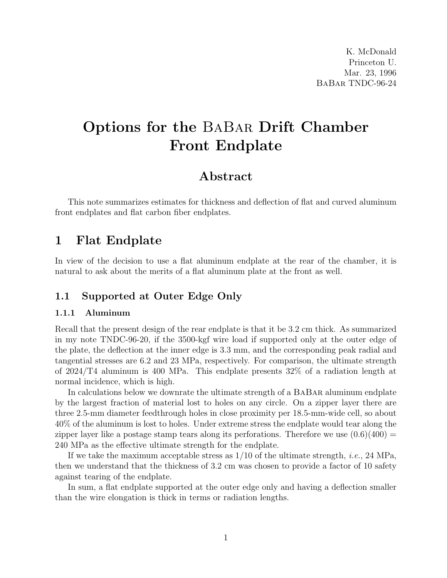# Options for the BaBar Drift Chamber Front Endplate

# Abstract

This note summarizes estimates for thickness and deflection of flat and curved aluminum front endplates and flat carbon fiber endplates.

# 1 Flat Endplate

In view of the decision to use a flat aluminum endplate at the rear of the chamber, it is natural to ask about the merits of a flat aluminum plate at the front as well.

## 1.1 Supported at Outer Edge Only

### 1.1.1 Aluminum

Recall that the present design of the rear endplate is that it be 3.2 cm thick. As summarized in my note TNDC-96-20, if the 3500-kgf wire load if supported only at the outer edge of the plate, the deflection at the inner edge is 3.3 mm, and the corresponding peak radial and tangential stresses are 6.2 and 23 MPa, respectively. For comparison, the ultimate strength of 2024/T4 aluminum is 400 MPa. This endplate presents 32% of a radiation length at normal incidence, which is high.

In calculations below we downrate the ultimate strength of a BaBar aluminum endplate by the largest fraction of material lost to holes on any circle. On a zipper layer there are three 2.5-mm diameter feedthrough holes in close proximity per 18.5-mm-wide cell, so about 40% of the aluminum is lost to holes. Under extreme stress the endplate would tear along the zipper layer like a postage stamp tears along its perforations. Therefore we use  $(0.6)(400)$  = 240 MPa as the effective ultimate strength for the endplate.

If we take the maximum acceptable stress as  $1/10$  of the ultimate strength, *i.e.*, 24 MPa, then we understand that the thickness of 3.2 cm was chosen to provide a factor of 10 safety against tearing of the endplate.

In sum, a flat endplate supported at the outer edge only and having a deflection smaller than the wire elongation is thick in terms or radiation lengths.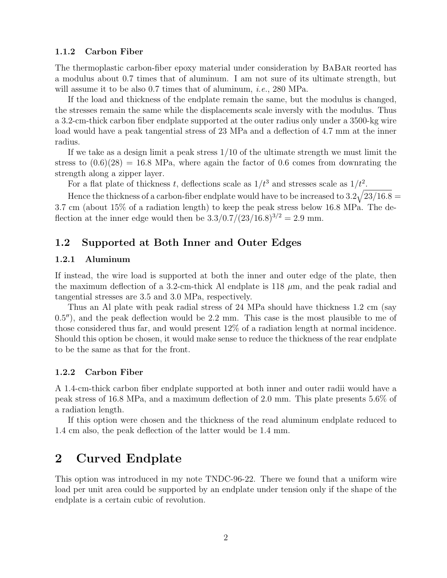#### 1.1.2 Carbon Fiber

The thermoplastic carbon-fiber epoxy material under consideration by BaBar reorted has a modulus about 0.7 times that of aluminum. I am not sure of its ultimate strength, but will assume it to be also 0.7 times that of aluminum, *i.e.*, 280 MPa.

If the load and thickness of the endplate remain the same, but the modulus is changed, the stresses remain the same while the displacements scale inversly with the modulus. Thus a 3.2-cm-thick carbon fiber endplate supported at the outer radius only under a 3500-kg wire load would have a peak tangential stress of 23 MPa and a deflection of 4.7 mm at the inner radius.

If we take as a design limit a peak stress 1/10 of the ultimate strength we must limit the stress to  $(0.6)(28) = 16.8$  MPa, where again the factor of 0.6 comes from downrating the strength along a zipper layer.

For a flat plate of thickness t, deflections scale as  $1/t^3$  and stresses scale as  $1/t^2$ .

Hence the thickness of a carbon-fiber endplate would have to be increased to  $3.2\sqrt{23/16.8}$  = 3.7 cm (about 15% of a radiation length) to keep the peak stress below 16.8 MPa. The deflection at the inner edge would then be  $3.3/0.7/(23/16.8)^{3/2} = 2.9$  mm.

### 1.2 Supported at Both Inner and Outer Edges

#### 1.2.1 Aluminum

If instead, the wire load is supported at both the inner and outer edge of the plate, then the maximum deflection of a 3.2-cm-thick Al endplate is 118  $\mu$ m, and the peak radial and tangential stresses are 3.5 and 3.0 MPa, respectively.

Thus an Al plate with peak radial stress of 24 MPa should have thickness 1.2 cm (say  $(0.5'')$ , and the peak deflection would be 2.2 mm. This case is the most plausible to me of those considered thus far, and would present 12% of a radiation length at normal incidence. Should this option be chosen, it would make sense to reduce the thickness of the rear endplate to be the same as that for the front.

#### 1.2.2 Carbon Fiber

A 1.4-cm-thick carbon fiber endplate supported at both inner and outer radii would have a peak stress of 16.8 MPa, and a maximum deflection of 2.0 mm. This plate presents 5.6% of a radiation length.

If this option were chosen and the thickness of the read aluminum endplate reduced to 1.4 cm also, the peak deflection of the latter would be 1.4 mm.

# 2 Curved Endplate

This option was introduced in my note TNDC-96-22. There we found that a uniform wire load per unit area could be supported by an endplate under tension only if the shape of the endplate is a certain cubic of revolution.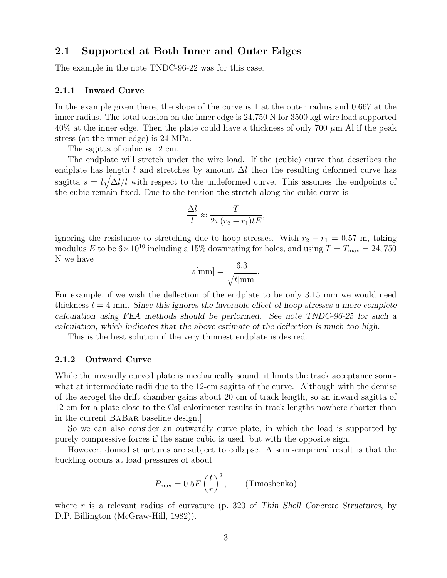### 2.1 Supported at Both Inner and Outer Edges

The example in the note TNDC-96-22 was for this case.

#### 2.1.1 Inward Curve

In the example given there, the slope of the curve is 1 at the outer radius and 0.667 at the inner radius. The total tension on the inner edge is 24,750 N for 3500 kgf wire load supported  $40\%$  at the inner edge. Then the plate could have a thickness of only 700  $\mu$ m Al if the peak stress (at the inner edge) is 24 MPa.

The sagitta of cubic is 12 cm.

The endplate will stretch under the wire load. If the (cubic) curve that describes the endplate has length l and stretches by amount  $\Delta l$  then the resulting deformed curve has sagitta  $s = l \sqrt{\Delta l/l}$  with respect to the undeformed curve. This assumes the endpoints of the cubic remain fixed. Due to the tension the stretch along the cubic curve is

$$
\frac{\Delta l}{l} \approx \frac{T}{2\pi (r_2 - r_1)tE},
$$

ignoring the resistance to stretching due to hoop stresses. With  $r_2 - r_1 = 0.57$  m, taking modulus E to be  $6 \times 10^{10}$  including a 15% downrating for holes, and using  $T = T_{\text{max}} = 24,750$ N we have

$$
s[\text{mm}] = \frac{6.3}{\sqrt{t[\text{mm}]}}.
$$

For example, if we wish the deflection of the endplate to be only 3.15 mm we would need thickness  $t = 4$  mm. Since this ignores the favorable effect of hoop stresses a more complete calculation using FEA methods should be performed. See note TNDC-96-25 for such a calculation, which indicates that the above estimate of the deflection is much too high.

This is the best solution if the very thinnest endplate is desired.

#### 2.1.2 Outward Curve

While the inwardly curved plate is mechanically sound, it limits the track acceptance somewhat at intermediate radii due to the 12-cm sagitta of the curve. [Although with the demise of the aerogel the drift chamber gains about 20 cm of track length, so an inward sagitta of 12 cm for a plate close to the CsI calorimeter results in track lengths nowhere shorter than in the current BaBar baseline design.]

So we can also consider an outwardly curve plate, in which the load is supported by purely compressive forces if the same cubic is used, but with the opposite sign.

However, domed structures are subject to collapse. A semi-empirical result is that the buckling occurs at load pressures of about

$$
P_{\text{max}} = 0.5E\left(\frac{t}{r}\right)^2, \qquad \text{(Timoshenko)}
$$

where r is a relevant radius of curvature  $(p. 320$  of Thin Shell Concrete Structures, by D.P. Billington (McGraw-Hill, 1982)).